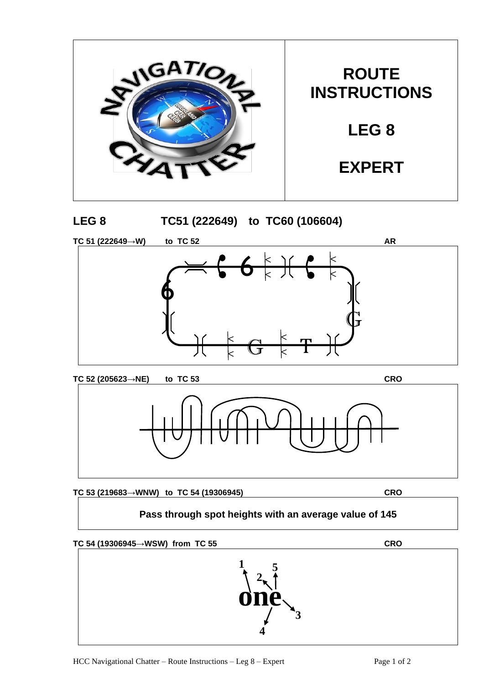







**TC 53 (219683→WNW) to TC 54 (19306945) CRO**

## **Pass through spot heights with an average value of 145**



**1 5 2 4 3**  $\overrightarrow{\text{one}}$